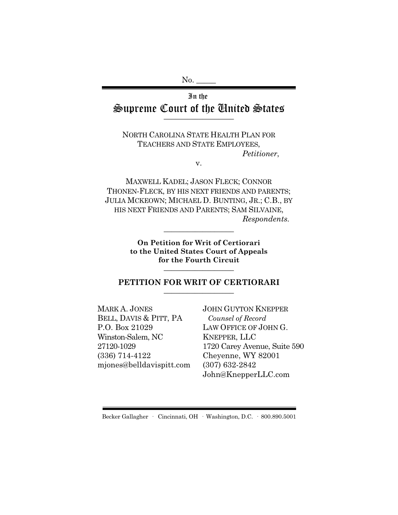No.

## In the Supreme Court of the United States  $\overline{\phantom{a}}$  , where  $\overline{\phantom{a}}$

NORTH CAROLINA STATE HEALTH PLAN FOR TEACHERS AND STATE EMPLOYEES, *Petitioner*,

v.

MAXWELL KADEL; JASON FLECK; CONNOR THONEN-FLECK, BY HIS NEXT FRIENDS AND PARENTS; JULIA MCKEOWN; MICHAEL D. BUNTING, JR.; C.B., BY HIS NEXT FRIENDS AND PARENTS; SAM SILVAINE, *Respondents.*

> **On Petition for Writ of Certiorari to the United States Court of Appeals for the Fourth Circuit** \_\_\_\_\_\_\_\_\_\_\_\_\_\_\_\_\_\_

\_\_\_\_\_\_\_\_\_\_\_\_\_\_\_\_\_\_

#### **PETITION FOR WRIT OF CERTIORARI** \_\_\_\_\_\_\_\_\_\_\_\_\_\_\_\_\_\_

MARK A. JONES BELL, DAVIS & PITT, PA P.O. Box 21029 Winston-Salem, NC 27120-1029 (336) 714-4122 mjones@belldavispitt.com JOHN GUYTON KNEPPER *Counsel of Record* LAW OFFICE OF JOHN G. KNEPPER, LLC 1720 Carey Avenue, Suite 590 Cheyenne, WY 82001 (307) 632-2842 John@KnepperLLC.com

Becker Gallagher · Cincinnati, OH · Washington, D.C. · 800.890.5001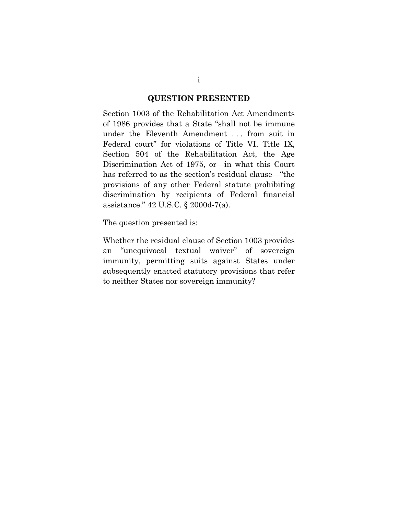#### **QUESTION PRESENTED**

Section 1003 of the Rehabilitation Act Amendments of 1986 provides that a State "shall not be immune under the Eleventh Amendment . . . from suit in Federal court" for violations of Title VI, Title IX, Section 504 of the Rehabilitation Act, the Age Discrimination Act of 1975, or—in what this Court has referred to as the section's residual clause—"the provisions of any other Federal statute prohibiting discrimination by recipients of Federal financial assistance." 42 U.S.C. § 2000d-7(a).

The question presented is:

Whether the residual clause of Section 1003 provides an "unequivocal textual waiver" of sovereign immunity, permitting suits against States under subsequently enacted statutory provisions that refer to neither States nor sovereign immunity?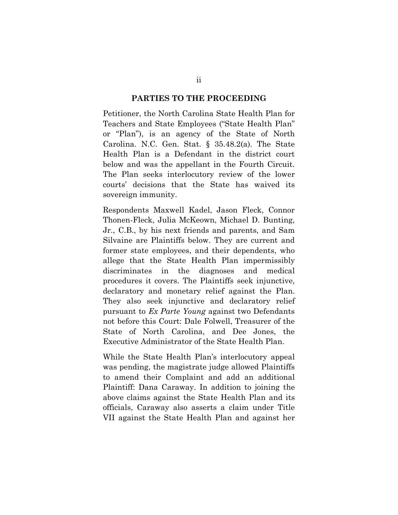#### **PARTIES TO THE PROCEEDING**

Petitioner, the North Carolina State Health Plan for Teachers and State Employees ("State Health Plan" or "Plan"), is an agency of the State of North Carolina. N.C. Gen. Stat. § 35.48.2(a). The State Health Plan is a Defendant in the district court below and was the appellant in the Fourth Circuit. The Plan seeks interlocutory review of the lower courts' decisions that the State has waived its sovereign immunity.

Respondents Maxwell Kadel, Jason Fleck, Connor Thonen-Fleck, Julia McKeown, Michael D. Bunting, Jr., C.B., by his next friends and parents, and Sam Silvaine are Plaintiffs below. They are current and former state employees, and their dependents, who allege that the State Health Plan impermissibly discriminates in the diagnoses and medical procedures it covers. The Plaintiffs seek injunctive, declaratory and monetary relief against the Plan. They also seek injunctive and declaratory relief pursuant to *Ex Parte Young* against two Defendants not before this Court: Dale Folwell, Treasurer of the State of North Carolina, and Dee Jones, the Executive Administrator of the State Health Plan.

While the State Health Plan's interlocutory appeal was pending, the magistrate judge allowed Plaintiffs to amend their Complaint and add an additional Plaintiff: Dana Caraway. In addition to joining the above claims against the State Health Plan and its officials, Caraway also asserts a claim under Title VII against the State Health Plan and against her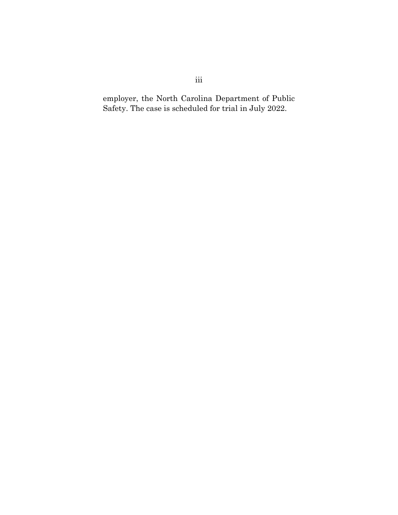employer, the North Carolina Department of Public Safety. The case is scheduled for trial in July 2022.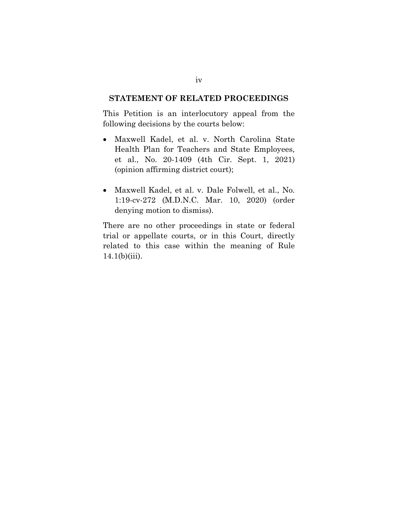#### **STATEMENT OF RELATED PROCEEDINGS**

This Petition is an interlocutory appeal from the following decisions by the courts below:

- Maxwell Kadel, et al. v. North Carolina State Health Plan for Teachers and State Employees, et al., No. 20-1409 (4th Cir. Sept. 1, 2021) (opinion affirming district court);
- Maxwell Kadel, et al. v. Dale Folwell, et al., No. 1:19-cv-272 (M.D.N.C. Mar. 10, 2020) (order denying motion to dismiss).

There are no other proceedings in state or federal trial or appellate courts, or in this Court, directly related to this case within the meaning of Rule  $14.1(b)(iii)$ .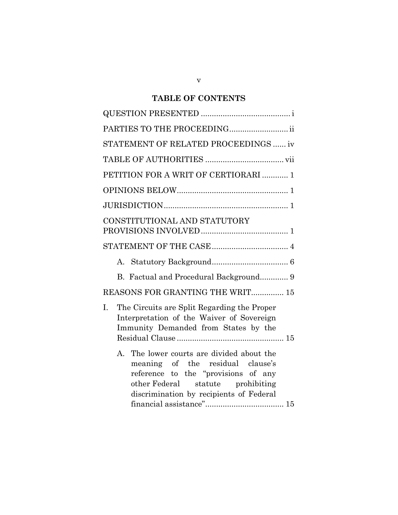# **TABLE OF CONTENTS**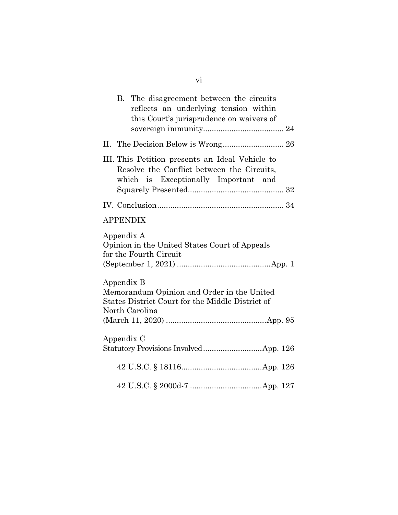|                                                                                       |  | B. The disagreement between the circuits<br>reflects an underlying tension within<br>this Court's jurisprudence on waivers of         |  |
|---------------------------------------------------------------------------------------|--|---------------------------------------------------------------------------------------------------------------------------------------|--|
|                                                                                       |  |                                                                                                                                       |  |
|                                                                                       |  | III. This Petition presents an Ideal Vehicle to<br>Resolve the Conflict between the Circuits,<br>which is Exceptionally Important and |  |
|                                                                                       |  |                                                                                                                                       |  |
|                                                                                       |  | <b>APPENDIX</b>                                                                                                                       |  |
| Appendix A<br>Opinion in the United States Court of Appeals<br>for the Fourth Circuit |  |                                                                                                                                       |  |
|                                                                                       |  | Appendix B<br>Memorandum Opinion and Order in the United<br>States District Court for the Middle District of<br>North Carolina        |  |
|                                                                                       |  | Appendix C                                                                                                                            |  |
|                                                                                       |  |                                                                                                                                       |  |
|                                                                                       |  |                                                                                                                                       |  |

vi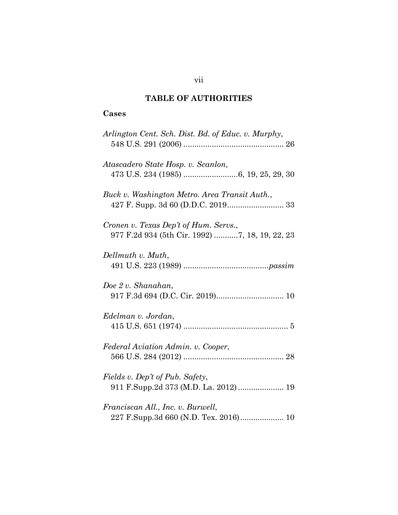# **TABLE OF AUTHORITIES**

# **Cases**

| Arlington Cent. Sch. Dist. Bd. of Educ. v. Murphy,                                      |
|-----------------------------------------------------------------------------------------|
| Atascadero State Hosp. v. Scanlon,                                                      |
| Buck v. Washington Metro. Area Transit Auth.,                                           |
| Cronen v. Texas Dep't of Hum. Servs.,<br>977 F.2d 934 (5th Cir. 1992) 7, 18, 19, 22, 23 |
| Dellmuth v. Muth,                                                                       |
| Doe 2 v. Shanahan,                                                                      |
| Edelman v. Jordan,                                                                      |
| Federal Aviation Admin. v. Cooper,                                                      |
| Fields v. Dep't of Pub. Safety,                                                         |
| Franciscan All., Inc. v. Burwell,                                                       |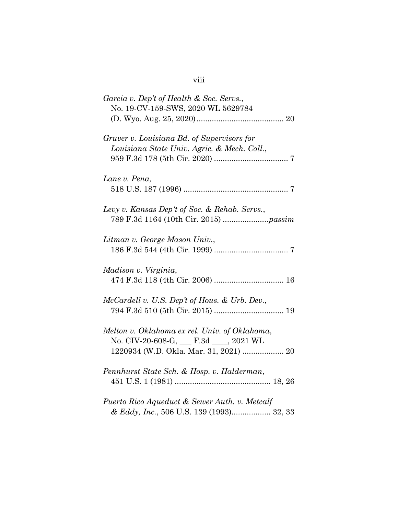# viii

| Garcia v. Dep't of Health & Soc. Servs.,<br>No. 19-CV-159-SWS, 2020 WL 5629784                                               |
|------------------------------------------------------------------------------------------------------------------------------|
| Gruver v. Louisiana Bd. of Supervisors for<br>Louisiana State Univ. Agric. & Mech. Coll.,                                    |
| Lane v. Pena,                                                                                                                |
| Levy v. Kansas Dep't of Soc. & Rehab. Servs.,                                                                                |
| Litman v. George Mason Univ.,                                                                                                |
| Madison v. Virginia,                                                                                                         |
| McCardell v. U.S. Dep't of Hous. & Urb. Dev.,                                                                                |
| Melton v. Oklahoma ex rel. Univ. of Oklahoma,<br>No. CIV-20-608-G, F.3d 9. 2021 WL<br>1220934 (W.D. Okla. Mar. 31, 2021)  20 |
| Pennhurst State Sch. & Hosp. v. Halderman,                                                                                   |
| Puerto Rico Aqueduct & Sewer Auth. v. Metcalf<br>& Eddy, Inc., 506 U.S. 139 (1993) 32, 33                                    |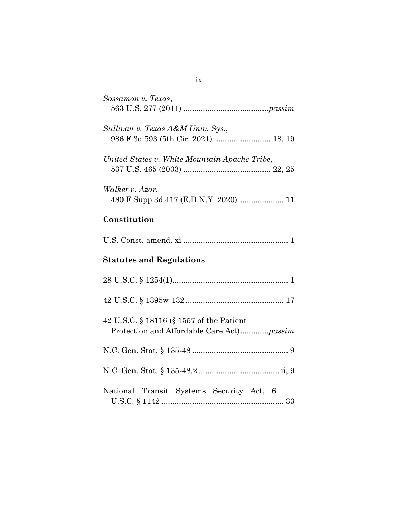| Sossamon v. Texas,                                                                    |  |  |
|---------------------------------------------------------------------------------------|--|--|
| Sullivan v. Texas A&M Univ. Sys.,                                                     |  |  |
| United States v. White Mountain Apache Tribe,                                         |  |  |
| Walker v. Azar,<br>480 F.Supp.3d 417 (E.D.N.Y. 2020) 11                               |  |  |
| Constitution                                                                          |  |  |
|                                                                                       |  |  |
| <b>Statutes and Regulations</b>                                                       |  |  |
|                                                                                       |  |  |
|                                                                                       |  |  |
| 42 U.S.C. § 18116 (§ 1557 of the Patient<br>Protection and Affordable Care Act)passim |  |  |
|                                                                                       |  |  |
|                                                                                       |  |  |
| National Transit Systems Security Act, 6                                              |  |  |

ix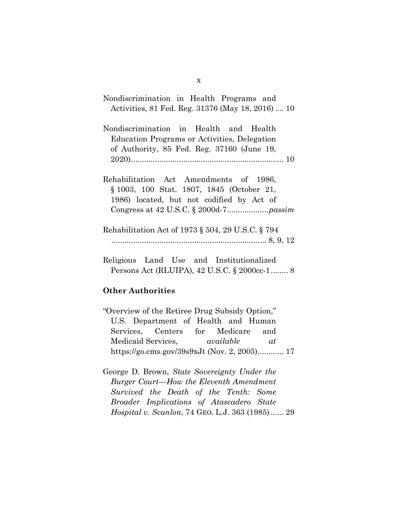| Nondiscrimination in Health Programs and          |
|---------------------------------------------------|
| Activities, 81 Fed. Reg. 31376 (May 18, 2016)  10 |
| Nondiscrimination in Health and Health            |
| Education Programs or Activities, Delegation      |
| of Authority, 85 Fed. Reg. 37160 (June 19,        |
|                                                   |
| Rehabilitation Act Amendments of 1986,            |
| § 1003, 100 Stat. 1807, 1845 (October 21,         |
| 1986) located, but not codified by Act of         |
|                                                   |
| Rehabilitation Act of 1973 § 504, 29 U.S.C. § 794 |
|                                                   |

Religious Land Use and Institutionalized Persons Act (RLUIPA), 42 U.S.C. § 2000cc-1 ........ 8

### **Other Authorities**

- "Overview of the Retiree Drug Subsidy Option," U.S. Department of Health and Human Services, Centers for Medicare and Medicaid Services, *available at* https://go.cms.gov/39s9xJt (Nov. 2, 2005)............ 17
- George D. Brown, *State Sovereignty Under the Burger Court––How the Eleventh Amendment Survived the Death of the Tenth: Some Broader Implications of Atascadero State Hospital v. Scanlon*, 74 GEO. L.J. 363 (1985) ...... 29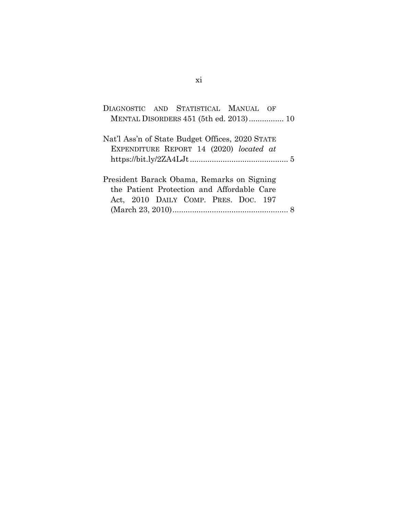| DIAGNOSTIC AND STATISTICAL MANUAL OF            |
|-------------------------------------------------|
| MENTAL DISORDERS 451 (5th ed. 2013) 10          |
|                                                 |
| Nat'l Ass'n of State Budget Offices, 2020 STATE |
| EXPENDITURE REPORT 14 (2020) located at         |
|                                                 |
|                                                 |
|                                                 |
| President Barack Obama, Remarks on Signing      |
| the Patient Protection and Affordable Care      |
| Act, 2010 DAILY COMP. PRES. DOC. 197            |
|                                                 |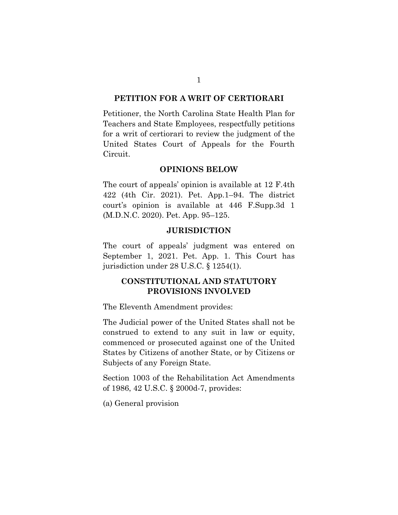#### **PETITION FOR A WRIT OF CERTIORARI**

Petitioner, the North Carolina State Health Plan for Teachers and State Employees, respectfully petitions for a writ of certiorari to review the judgment of the United States Court of Appeals for the Fourth Circuit.

#### **OPINIONS BELOW**

The court of appeals' opinion is available at 12 F.4th 422 (4th Cir. 2021). Pet. App.1–94. The district court's opinion is available at 446 F.Supp.3d 1 (M.D.N.C. 2020). Pet. App. 95–125.

#### **JURISDICTION**

The court of appeals' judgment was entered on September 1, 2021. Pet. App. 1. This Court has jurisdiction under 28 U.S.C. § 1254(1).

## **CONSTITUTIONAL AND STATUTORY PROVISIONS INVOLVED**

The Eleventh Amendment provides:

The Judicial power of the United States shall not be construed to extend to any suit in law or equity, commenced or prosecuted against one of the United States by Citizens of another State, or by Citizens or Subjects of any Foreign State.

Section 1003 of the Rehabilitation Act Amendments of 1986, 42 U.S.C. § 2000d-7, provides:

(a) General provision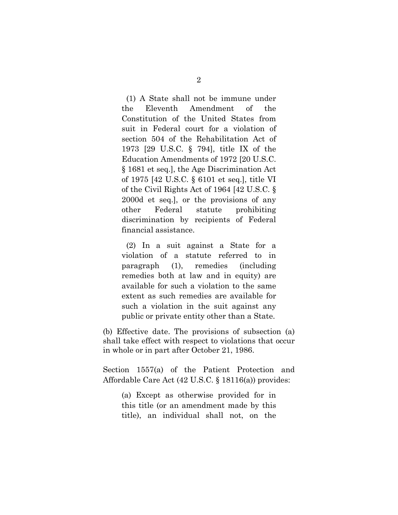(1) A State shall not be immune under the Eleventh Amendment of the Constitution of the United States from suit in Federal court for a violation of section 504 of the Rehabilitation Act of 1973 [29 U.S.C. § 794], title IX of the Education Amendments of 1972 [20 U.S.C. § 1681 et seq.], the Age Discrimination Act of 1975 [42 U.S.C. § 6101 et seq.], title VI of the Civil Rights Act of 1964 [42 U.S.C. § 2000d et seq.], or the provisions of any other Federal statute prohibiting discrimination by recipients of Federal financial assistance.

(2) In a suit against a State for a violation of a statute referred to in paragraph (1), remedies (including remedies both at law and in equity) are available for such a violation to the same extent as such remedies are available for such a violation in the suit against any public or private entity other than a State.

(b) Effective date. The provisions of subsection (a) shall take effect with respect to violations that occur in whole or in part after October 21, 1986.

Section 1557(a) of the Patient Protection and Affordable Care Act (42 U.S.C. § 18116(a)) provides:

(a) Except as otherwise provided for in this title (or an amendment made by this title), an individual shall not, on the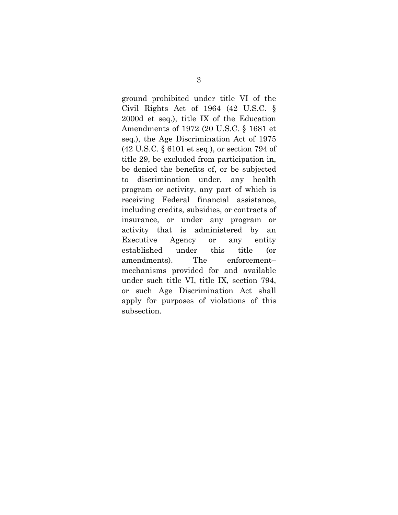ground prohibited under title VI of the Civil Rights Act of 1964 (42 U.S.C. § 2000d et seq.), title IX of the Education Amendments of 1972 (20 U.S.C. § 1681 et seq.), the Age Discrimination Act of 1975 (42 U.S.C. § 6101 et seq.), or section 794 of title 29, be excluded from participation in, be denied the benefits of, or be subjected to discrimination under, any health program or activity, any part of which is receiving Federal financial assistance, including credits, subsidies, or contracts of insurance, or under any program or activity that is administered by an Executive Agency or any entity established under this title (or amendments). The enforcement– mechanisms provided for and available under such title VI, title IX, section 794, or such Age Discrimination Act shall apply for purposes of violations of this subsection.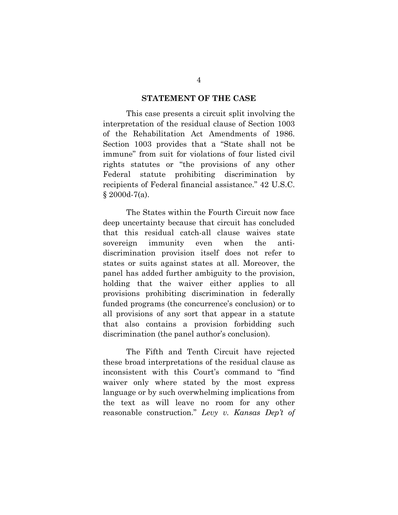#### **STATEMENT OF THE CASE**

This case presents a circuit split involving the interpretation of the residual clause of Section 1003 of the Rehabilitation Act Amendments of 1986. Section 1003 provides that a "State shall not be immune" from suit for violations of four listed civil rights statutes or "the provisions of any other Federal statute prohibiting discrimination by recipients of Federal financial assistance." 42 U.S.C. § 2000d-7(a).

The States within the Fourth Circuit now face deep uncertainty because that circuit has concluded that this residual catch-all clause waives state sovereign immunity even when the antidiscrimination provision itself does not refer to states or suits against states at all. Moreover, the panel has added further ambiguity to the provision, holding that the waiver either applies to all provisions prohibiting discrimination in federally funded programs (the concurrence's conclusion) or to all provisions of any sort that appear in a statute that also contains a provision forbidding such discrimination (the panel author's conclusion).

The Fifth and Tenth Circuit have rejected these broad interpretations of the residual clause as inconsistent with this Court's command to "find waiver only where stated by the most express language or by such overwhelming implications from the text as will leave no room for any other reasonable construction." *Levy v. Kansas Dep't of*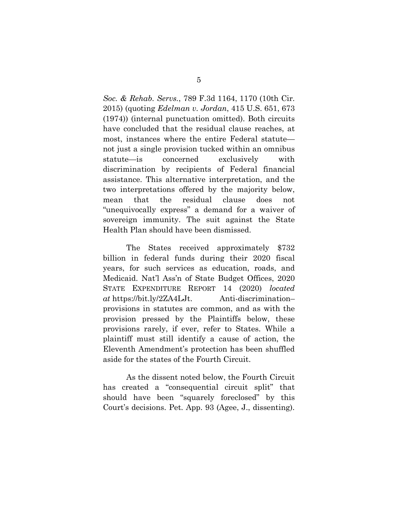*Soc. & Rehab. Servs.*, 789 F.3d 1164, 1170 (10th Cir. 2015) (quoting *Edelman v. Jordan*, 415 U.S. 651, 673 (1974)) (internal punctuation omitted). Both circuits have concluded that the residual clause reaches, at most, instances where the entire Federal statute not just a single provision tucked within an omnibus statute—is concerned exclusively with discrimination by recipients of Federal financial assistance. This alternative interpretation, and the two interpretations offered by the majority below, mean that the residual clause does not "unequivocally express" a demand for a waiver of sovereign immunity. The suit against the State Health Plan should have been dismissed.

The States received approximately \$732 billion in federal funds during their 2020 fiscal years, for such services as education, roads, and Medicaid. Nat'l Ass'n of State Budget Offices, 2020 STATE EXPENDITURE REPORT 14 (2020) *located at* https://bit.ly/2ZA4LJt. Anti-discrimination– provisions in statutes are common, and as with the provision pressed by the Plaintiffs below, these provisions rarely, if ever, refer to States. While a plaintiff must still identify a cause of action, the Eleventh Amendment's protection has been shuffled aside for the states of the Fourth Circuit.

As the dissent noted below, the Fourth Circuit has created a "consequential circuit split" that should have been "squarely foreclosed" by this Court's decisions. Pet. App. 93 (Agee, J., dissenting).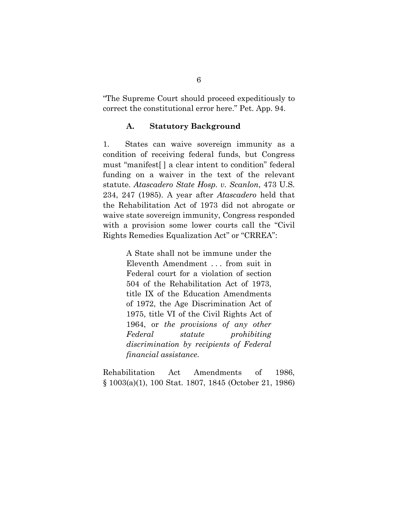"The Supreme Court should proceed expeditiously to correct the constitutional error here." Pet. App. 94.

### **A. Statutory Background**

1. States can waive sovereign immunity as a condition of receiving federal funds, but Congress must "manifest[ ] a clear intent to condition" federal funding on a waiver in the text of the relevant statute. *Atascadero State Hosp. v. Scanlon*, 473 U.S. 234, 247 (1985). A year after *Atascadero* held that the Rehabilitation Act of 1973 did not abrogate or waive state sovereign immunity, Congress responded with a provision some lower courts call the "Civil Rights Remedies Equalization Act" or "CRREA":

> A State shall not be immune under the Eleventh Amendment . . . from suit in Federal court for a violation of section 504 of the Rehabilitation Act of 1973, title IX of the Education Amendments of 1972, the Age Discrimination Act of 1975, title VI of the Civil Rights Act of 1964, or *the provisions of any other Federal statute prohibiting discrimination by recipients of Federal financial assistance*.

Rehabilitation Act Amendments of 1986, § 1003(a)(1), 100 Stat. 1807, 1845 (October 21, 1986)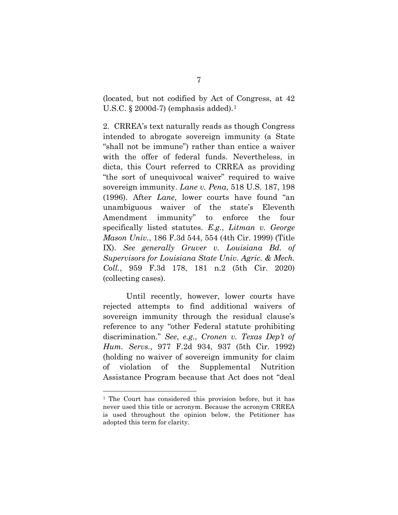(located, but not codified by Act of Congress, at 42 U.S.C.  $\S 2000d-7$  (emphasis added).<sup>[1](#page-18-0)</sup>

2. CRREA's text naturally reads as though Congress intended to abrogate sovereign immunity (a State "shall not be immune") rather than entice a waiver with the offer of federal funds. Nevertheless, in dicta, this Court referred to CRREA as providing "the sort of unequivocal waiver" required to waive sovereign immunity. *Lane v. Pena*, 518 U.S. 187, 198 (1996). After *Lane*, lower courts have found "an unambiguous waiver of the state's Eleventh Amendment immunity" to enforce the four specifically listed statutes. *E.g.*, *Litman v. George Mason Univ.*, 186 F.3d 544, 554 (4th Cir. 1999) (Title IX). *See generally Gruver v. Louisiana Bd. of Supervisors for Louisiana State Univ. Agric. & Mech. Coll.*, 959 F.3d 178, 181 n.2 (5th Cir. 2020) (collecting cases).

Until recently, however, lower courts have rejected attempts to find additional waivers of sovereign immunity through the residual clause's reference to any "other Federal statute prohibiting discrimination." *See*, *e.g.*, *Cronen v. Texas Dep't of Hum. Servs.*, 977 F.2d 934, 937 (5th Cir. 1992) (holding no waiver of sovereign immunity for claim of violation of the Supplemental Nutrition Assistance Program because that Act does not "deal

<span id="page-18-0"></span><sup>&</sup>lt;sup>1</sup> The Court has considered this provision before, but it has never used this title or acronym. Because the acronym CRREA is used throughout the opinion below, the Petitioner has adopted this term for clarity.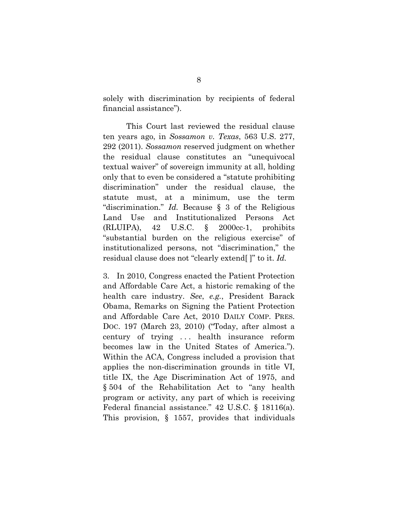solely with discrimination by recipients of federal financial assistance").

This Court last reviewed the residual clause ten years ago, in *Sossamon v. Texas*, 563 U.S. 277, 292 (2011). *Sossamon* reserved judgment on whether the residual clause constitutes an "unequivocal textual waiver" of sovereign immunity at all, holding only that to even be considered a "statute prohibiting discrimination" under the residual clause, the statute must, at a minimum, use the term "discrimination." *Id.* Because § 3 of the Religious Land Use and Institutionalized Persons Act (RLUIPA), 42 U.S.C. § 2000cc-1, prohibits "substantial burden on the religious exercise" of institutionalized persons, not "discrimination," the residual clause does not "clearly extend[ ]" to it. *Id.*

3. In 2010, Congress enacted the Patient Protection and Affordable Care Act, a historic remaking of the health care industry. *See*, *e.g.*, President Barack Obama, Remarks on Signing the Patient Protection and Affordable Care Act, 2010 DAILY COMP. PRES. DOC. 197 (March 23, 2010) ("Today, after almost a century of trying . . . health insurance reform becomes law in the United States of America."). Within the ACA, Congress included a provision that applies the non-discrimination grounds in title VI, title IX, the Age Discrimination Act of 1975, and § 504 of the Rehabilitation Act to "any health program or activity, any part of which is receiving Federal financial assistance." 42 U.S.C. § 18116(a). This provision, § 1557, provides that individuals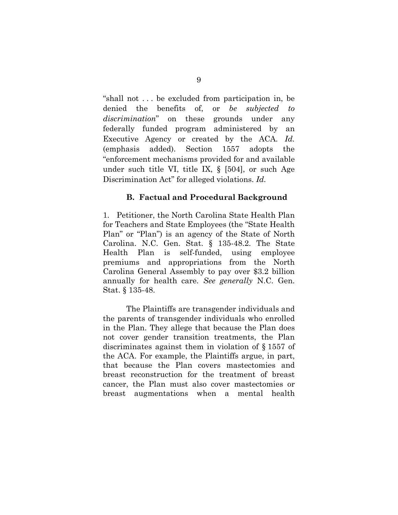"shall not . . . be excluded from participation in, be denied the benefits of, or *be subjected to discrimination*" on these grounds under any federally funded program administered by an Executive Agency or created by the ACA. *Id.* (emphasis added). Section 1557 adopts the "enforcement mechanisms provided for and available under such title VI, title IX, § [504], or such Age Discrimination Act" for alleged violations. *Id.*

#### **B. Factual and Procedural Background**

1. Petitioner, the North Carolina State Health Plan for Teachers and State Employees (the "State Health Plan" or "Plan") is an agency of the State of North Carolina. N.C. Gen. Stat. § 135-48.2. The State Health Plan is self-funded, using employee premiums and appropriations from the North Carolina General Assembly to pay over \$3.2 billion annually for health care. *See generally* N.C. Gen. Stat. § 135-48.

The Plaintiffs are transgender individuals and the parents of transgender individuals who enrolled in the Plan. They allege that because the Plan does not cover gender transition treatments, the Plan discriminates against them in violation of § 1557 of the ACA. For example, the Plaintiffs argue, in part, that because the Plan covers mastectomies and breast reconstruction for the treatment of breast cancer, the Plan must also cover mastectomies or breast augmentations when a mental health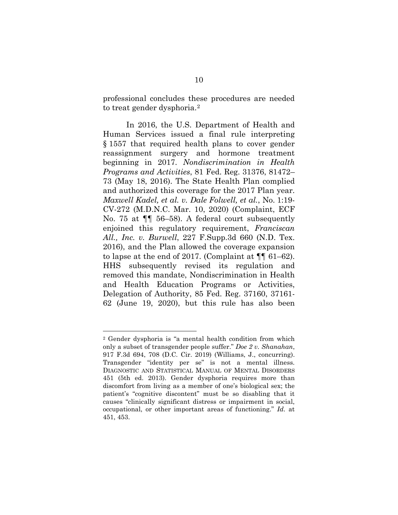professional concludes these procedures are needed to treat gender dysphoria.[2](#page-21-0)

In 2016, the U.S. Department of Health and Human Services issued a final rule interpreting § 1557 that required health plans to cover gender reassignment surgery and hormone treatment beginning in 2017. *Nondiscrimination in Health Programs and Activities*, 81 Fed. Reg. 31376, 81472– 73 (May 18, 2016). The State Health Plan complied and authorized this coverage for the 2017 Plan year. *Maxwell Kadel, et al. v. Dale Folwell, et al.*, No. 1:19- CV-272 (M.D.N.C. Mar. 10, 2020) (Complaint, ECF No. 75 at ¶¶ 56–58). A federal court subsequently enjoined this regulatory requirement, *Franciscan All., Inc. v. Burwell*, 227 F.Supp.3d 660 (N.D. Tex. 2016), and the Plan allowed the coverage expansion to lapse at the end of 2017. (Complaint at  $\P\P$  61–62). HHS subsequently revised its regulation and removed this mandate, Nondiscrimination in Health and Health Education Programs or Activities, Delegation of Authority, 85 Fed. Reg. 37160, 37161- 62 (June 19, 2020), but this rule has also been

<span id="page-21-0"></span><sup>2</sup> Gender dysphoria is "a mental health condition from which only a subset of transgender people suffer." *Doe 2 v. Shanahan*, 917 F.3d 694, 708 (D.C. Cir. 2019) (Williams, J., concurring). Transgender "identity per se" is not a mental illness. DIAGNOSTIC AND STATISTICAL MANUAL OF MENTAL DISORDERS 451 (5th ed. 2013). Gender dysphoria requires more than discomfort from living as a member of one's biological sex; the patient's "cognitive discontent" must be so disabling that it causes "clinically significant distress or impairment in social, occupational, or other important areas of functioning." *Id.* at 451, 453.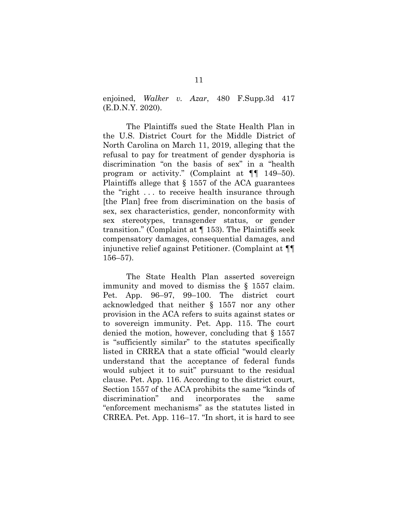enjoined, *Walker v. Azar*, 480 F.Supp.3d 417 (E.D.N.Y. 2020).

The Plaintiffs sued the State Health Plan in the U.S. District Court for the Middle District of North Carolina on March 11, 2019, alleging that the refusal to pay for treatment of gender dysphoria is discrimination "on the basis of sex" in a "health program or activity." (Complaint at ¶¶ 149–50). Plaintiffs allege that § 1557 of the ACA guarantees the "right . . . to receive health insurance through [the Plan] free from discrimination on the basis of sex, sex characteristics, gender, nonconformity with sex stereotypes, transgender status, or gender transition." (Complaint at ¶ 153). The Plaintiffs seek compensatory damages, consequential damages, and injunctive relief against Petitioner. (Complaint at ¶¶ 156–57).

The State Health Plan asserted sovereign immunity and moved to dismiss the § 1557 claim. Pet. App. 96–97, 99–100. The district court acknowledged that neither § 1557 nor any other provision in the ACA refers to suits against states or to sovereign immunity. Pet. App. 115. The court denied the motion, however, concluding that § 1557 is "sufficiently similar" to the statutes specifically listed in CRREA that a state official "would clearly understand that the acceptance of federal funds would subject it to suit" pursuant to the residual clause. Pet. App. 116. According to the district court, Section 1557 of the ACA prohibits the same "kinds of discrimination" and incorporates the same "enforcement mechanisms" as the statutes listed in CRREA. Pet. App. 116–17. "In short, it is hard to see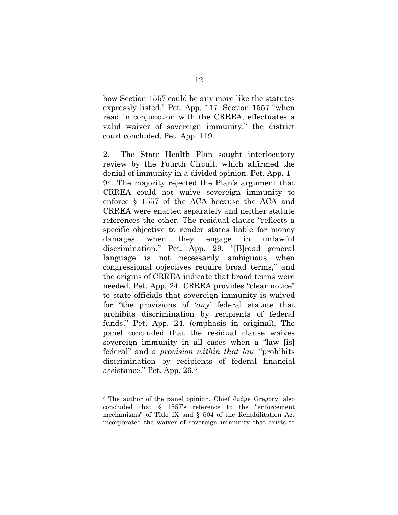how Section 1557 could be any more like the statutes expressly listed." Pet. App. 117. Section 1557 "when read in conjunction with the CRREA, effectuates a valid waiver of sovereign immunity," the district court concluded. Pet. App. 119.

2. The State Health Plan sought interlocutory review by the Fourth Circuit, which affirmed the denial of immunity in a divided opinion. Pet. App. 1– 94. The majority rejected the Plan's argument that CRREA could not waive sovereign immunity to enforce § 1557 of the ACA because the ACA and CRREA were enacted separately and neither statute references the other. The residual clause "reflects a specific objective to render states liable for money damages when they engage in unlawful discrimination." Pet. App. 29. "[B]road general language is not necessarily ambiguous when congressional objectives require broad terms," and the origins of CRREA indicate that broad terms were needed. Pet. App. 24. CRREA provides "clear notice" to state officials that sovereign immunity is waived for "the provisions of '*any*' federal statute that prohibits discrimination by recipients of federal funds." Pet. App. 24. (emphasis in original). The panel concluded that the residual clause waives sovereign immunity in all cases when a "law [is] federal" and a *provision within that law* "prohibits discrimination by recipients of federal financial assistance." Pet. App. 26.[3](#page-23-0)

<span id="page-23-0"></span><sup>3</sup> The author of the panel opinion, Chief Judge Gregory, also concluded that § 1557's reference to the "enforcement mechanisms" of Title IX and § 504 of the Rehabilitation Act incorporated the waiver of sovereign immunity that exists to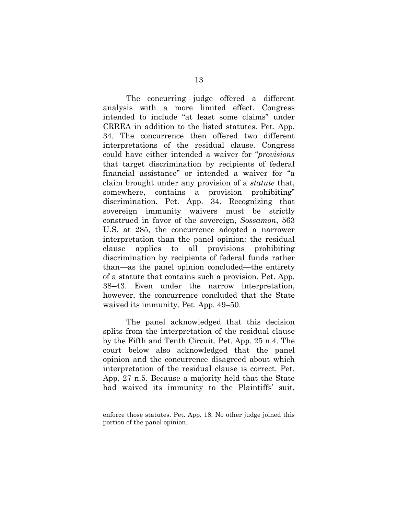The concurring judge offered a different analysis with a more limited effect. Congress intended to include "at least some claims" under CRREA in addition to the listed statutes. Pet. App. 34. The concurrence then offered two different interpretations of the residual clause. Congress could have either intended a waiver for "*provisions*  that target discrimination by recipients of federal financial assistance" or intended a waiver for "a claim brought under any provision of a *statute* that, somewhere, contains a provision prohibiting" discrimination. Pet. App. 34. Recognizing that sovereign immunity waivers must be strictly construed in favor of the sovereign, *Sossamon*, 563 U.S. at 285, the concurrence adopted a narrower interpretation than the panel opinion: the residual clause applies to all provisions prohibiting discrimination by recipients of federal funds rather than—as the panel opinion concluded—the entirety of a statute that contains such a provision. Pet. App. 38–43. Even under the narrow interpretation, however, the concurrence concluded that the State waived its immunity. Pet. App. 49–50.

The panel acknowledged that this decision splits from the interpretation of the residual clause by the Fifth and Tenth Circuit. Pet. App. 25 n.4. The court below also acknowledged that the panel opinion and the concurrence disagreed about which interpretation of the residual clause is correct. Pet. App. 27 n.5. Because a majority held that the State had waived its immunity to the Plaintiffs' suit,

enforce those statutes. Pet. App. 18. No other judge joined this portion of the panel opinion.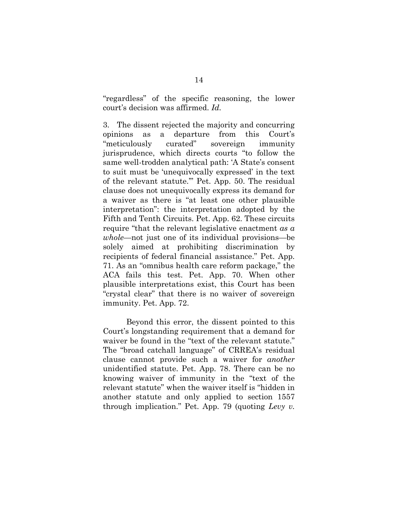"regardless" of the specific reasoning, the lower court's decision was affirmed. *Id.*

3. The dissent rejected the majority and concurring opinions as a departure from this Court's "meticulously curated" sovereign immunity jurisprudence, which directs courts "to follow the same well-trodden analytical path: 'A State's consent to suit must be 'unequivocally expressed' in the text of the relevant statute.'" Pet. App. 50. The residual clause does not unequivocally express its demand for a waiver as there is "at least one other plausible interpretation": the interpretation adopted by the Fifth and Tenth Circuits. Pet. App. 62. These circuits require "that the relevant legislative enactment *as a whole*—not just one of its individual provisions—be solely aimed at prohibiting discrimination by recipients of federal financial assistance." Pet. App. 71. As an "omnibus health care reform package," the ACA fails this test. Pet. App. 70. When other plausible interpretations exist, this Court has been "crystal clear" that there is no waiver of sovereign immunity. Pet. App. 72.

Beyond this error, the dissent pointed to this Court's longstanding requirement that a demand for waiver be found in the "text of the relevant statute." The "broad catchall language" of CRREA's residual clause cannot provide such a waiver for *another* unidentified statute. Pet. App. 78. There can be no knowing waiver of immunity in the "text of the relevant statute" when the waiver itself is "hidden in another statute and only applied to section 1557 through implication." Pet. App. 79 (quoting *Levy v.*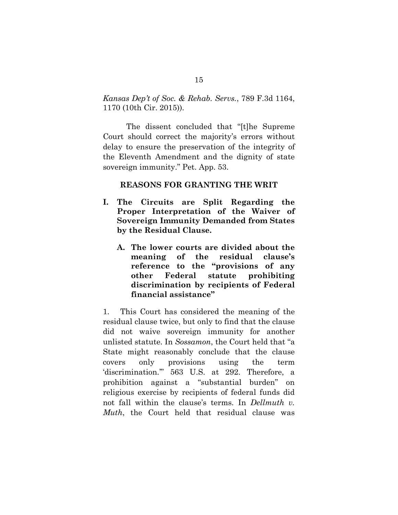*Kansas Dep't of Soc. & Rehab. Servs.*, 789 F.3d 1164, 1170 (10th Cir. 2015)).

The dissent concluded that "[t]he Supreme Court should correct the majority's errors without delay to ensure the preservation of the integrity of the Eleventh Amendment and the dignity of state sovereign immunity." Pet. App. 53.

#### **REASONS FOR GRANTING THE WRIT**

- **I. The Circuits are Split Regarding the Proper Interpretation of the Waiver of Sovereign Immunity Demanded from States by the Residual Clause.** 
	- **A. The lower courts are divided about the meaning of the residual clause's reference to the "provisions of any other Federal statute prohibiting discrimination by recipients of Federal financial assistance"**

1. This Court has considered the meaning of the residual clause twice, but only to find that the clause did not waive sovereign immunity for another unlisted statute. In *Sossamon*, the Court held that "a State might reasonably conclude that the clause covers only provisions using the term 'discrimination.'" 563 U.S. at 292. Therefore, a prohibition against a "substantial burden" on religious exercise by recipients of federal funds did not fall within the clause's terms. In *Dellmuth v. Muth*, the Court held that residual clause was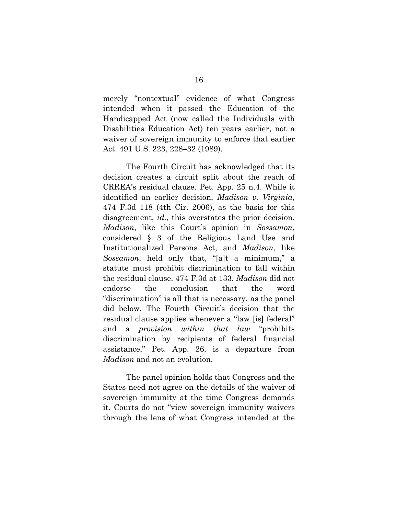merely "nontextual" evidence of what Congress intended when it passed the Education of the Handicapped Act (now called the Individuals with Disabilities Education Act) ten years earlier, not a waiver of sovereign immunity to enforce that earlier Act. 491 U.S. 223, 228–32 (1989).

The Fourth Circuit has acknowledged that its decision creates a circuit split about the reach of CRREA's residual clause. Pet. App. 25 n.4. While it identified an earlier decision, *Madison v. Virginia*, 474 F.3d 118 (4th Cir. 2006), as the basis for this disagreement, *id.*, this overstates the prior decision. *Madison*, like this Court's opinion in *Sossamon*, considered § 3 of the Religious Land Use and Institutionalized Persons Act, and *Madison*, like *Sossamon*, held only that, "[a]t a minimum," a statute must prohibit discrimination to fall within the residual clause. 474 F.3d at 133. *Madison* did not endorse the conclusion that the word "discrimination" is all that is necessary, as the panel did below. The Fourth Circuit's decision that the residual clause applies whenever a "law [is] federal" and a *provision within that law* "prohibits discrimination by recipients of federal financial assistance," Pet. App. 26, is a departure from *Madison* and not an evolution.

The panel opinion holds that Congress and the States need not agree on the details of the waiver of sovereign immunity at the time Congress demands it. Courts do not "view sovereign immunity waivers through the lens of what Congress intended at the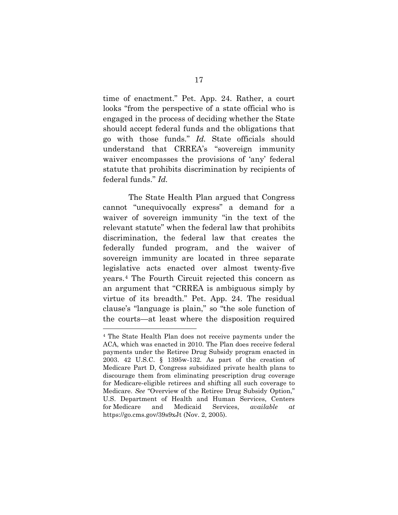time of enactment." Pet. App. 24. Rather, a court looks "from the perspective of a state official who is engaged in the process of deciding whether the State should accept federal funds and the obligations that go with those funds." *Id.* State officials should understand that CRREA's "sovereign immunity waiver encompasses the provisions of 'any' federal statute that prohibits discrimination by recipients of federal funds." *Id.*

 The State Health Plan argued that Congress cannot "unequivocally express" a demand for a waiver of sovereign immunity "in the text of the relevant statute" when the federal law that prohibits discrimination, the federal law that creates the federally funded program, and the waiver of sovereign immunity are located in three separate legislative acts enacted over almost twenty-five years.[4](#page-28-0) The Fourth Circuit rejected this concern as an argument that "CRREA is ambiguous simply by virtue of its breadth." Pet. App. 24. The residual clause's "language is plain," so "the sole function of the courts—at least where the disposition required

<span id="page-28-0"></span><sup>4</sup> The State Health Plan does not receive payments under the ACA, which was enacted in 2010. The Plan does receive federal payments under the Retiree Drug Subsidy program enacted in 2003. 42 U.S.C. § 1395w-132. As part of the creation of Medicare Part D, Congress subsidized private health plans to discourage them from eliminating prescription drug coverage for Medicare-eligible retirees and shifting all such coverage to Medicare. *See* "Overview of the Retiree Drug Subsidy Option," U.S. Department of Health and Human Services, Centers for Medicare and Medicaid Services, *available at* https://go.cms.gov/39s9xJt (Nov. 2, 2005).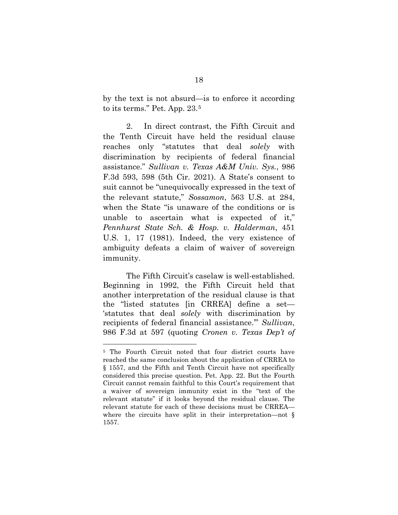by the text is not absurd—is to enforce it according to its terms." Pet. App. 23.[5](#page-29-0)

2. In direct contrast, the Fifth Circuit and the Tenth Circuit have held the residual clause reaches only "statutes that deal *solely* with discrimination by recipients of federal financial assistance." *Sullivan v. Texas A&M Univ. Sys.*, 986 F.3d 593, 598 (5th Cir. 2021). A State's consent to suit cannot be "unequivocally expressed in the text of the relevant statute," *Sossamon*, 563 U.S. at 284, when the State "is unaware of the conditions or is unable to ascertain what is expected of it," *Pennhurst State Sch. & Hosp. v. Halderman*, 451 U.S. 1, 17 (1981). Indeed, the very existence of ambiguity defeats a claim of waiver of sovereign immunity.

The Fifth Circuit's caselaw is well-established. Beginning in 1992, the Fifth Circuit held that another interpretation of the residual clause is that the "listed statutes [in CRREA] define a set— 'statutes that deal *solely* with discrimination by recipients of federal financial assistance.'" *Sullivan*, 986 F.3d at 597 (quoting *Cronen v. Texas Dep't of* 

<span id="page-29-0"></span><sup>&</sup>lt;sup>5</sup> The Fourth Circuit noted that four district courts have reached the same conclusion about the application of CRREA to § 1557, and the Fifth and Tenth Circuit have not specifically considered this precise question. Pet. App. 22. But the Fourth Circuit cannot remain faithful to this Court's requirement that a waiver of sovereign immunity exist in the "text of the relevant statute" if it looks beyond the residual clause. The relevant statute for each of these decisions must be CRREA where the circuits have split in their interpretation—not § 1557.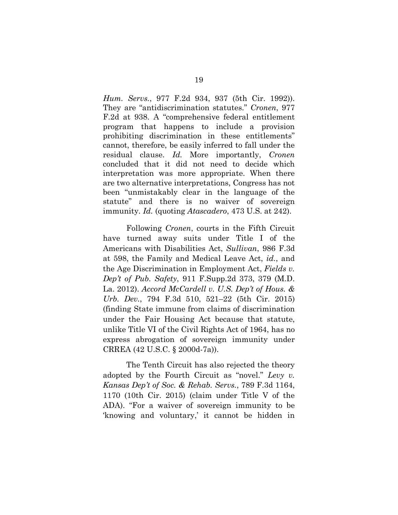*Hum. Servs.*, 977 F.2d 934, 937 (5th Cir. 1992)). They are "antidiscrimination statutes." *Cronen*, 977 F.2d at 938. A "comprehensive federal entitlement program that happens to include a provision prohibiting discrimination in these entitlements" cannot, therefore, be easily inferred to fall under the residual clause. *Id.* More importantly, *Cronen*  concluded that it did not need to decide which interpretation was more appropriate. When there are two alternative interpretations, Congress has not been "unmistakably clear in the language of the statute" and there is no waiver of sovereign immunity. *Id.* (quoting *Atascadero*, 473 U.S. at 242).

Following *Cronen*, courts in the Fifth Circuit have turned away suits under Title I of the Americans with Disabilities Act, *Sullivan*, 986 F.3d at 598, the Family and Medical Leave Act, *id.*, and the Age Discrimination in Employment Act, *Fields v. Dep't of Pub. Safety*, 911 F.Supp.2d 373, 379 (M.D. La. 2012). *Accord McCardell v. U.S. Dep't of Hous. & Urb. Dev.*, 794 F.3d 510, 521–22 (5th Cir. 2015) (finding State immune from claims of discrimination under the Fair Housing Act because that statute, unlike Title VI of the Civil Rights Act of 1964, has no express abrogation of sovereign immunity under CRREA (42 U.S.C. § 2000d-7a)).

The Tenth Circuit has also rejected the theory adopted by the Fourth Circuit as "novel." *Levy v. Kansas Dep't of Soc. & Rehab. Servs.*, 789 F.3d 1164, 1170 (10th Cir. 2015) (claim under Title V of the ADA). "For a waiver of sovereign immunity to be 'knowing and voluntary,' it cannot be hidden in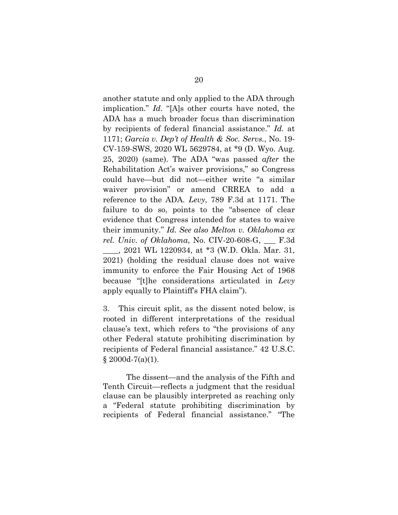another statute and only applied to the ADA through implication." *Id.* "[A]s other courts have noted, the ADA has a much broader focus than discrimination by recipients of federal financial assistance." *Id.* at 1171; *Garcia v. Dep't of Health & Soc. Servs.*, No. 19- CV-159-SWS, 2020 WL 5629784, at \*9 (D. Wyo. Aug. 25, 2020) (same). The ADA "was passed *after* the Rehabilitation Act's waiver provisions," so Congress could have—but did not—either write "a similar waiver provision" or amend CRREA to add a reference to the ADA. *Levy*, 789 F.3d at 1171. The failure to do so, points to the "absence of clear evidence that Congress intended for states to waive their immunity." *Id. See also Melton v. Oklahoma ex rel. Univ. of Oklahoma*, No. CIV-20-608-G, \_\_\_ F.3d \_\_\_\_, 2021 WL 1220934, at \*3 (W.D. Okla. Mar. 31, 2021) (holding the residual clause does not waive immunity to enforce the Fair Housing Act of 1968 because "[t]he considerations articulated in *Levy* apply equally to Plaintiff's FHA claim").

3. This circuit split, as the dissent noted below, is rooted in different interpretations of the residual clause's text, which refers to "the provisions of any other Federal statute prohibiting discrimination by recipients of Federal financial assistance." 42 U.S.C.  $§$  2000d-7(a)(1).

The dissent—and the analysis of the Fifth and Tenth Circuit—reflects a judgment that the residual clause can be plausibly interpreted as reaching only a "Federal statute prohibiting discrimination by recipients of Federal financial assistance." "The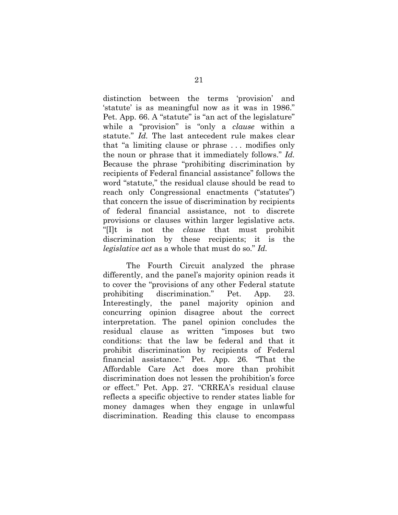distinction between the terms 'provision' and 'statute' is as meaningful now as it was in 1986." Pet. App. 66. A "statute" is "an act of the legislature" while a "provision" is "only a *clause* within a statute." *Id.* The last antecedent rule makes clear that "a limiting clause or phrase . . . modifies only the noun or phrase that it immediately follows." *Id.* Because the phrase "prohibiting discrimination by recipients of Federal financial assistance" follows the word "statute," the residual clause should be read to reach only Congressional enactments ("statutes") that concern the issue of discrimination by recipients of federal financial assistance, not to discrete provisions or clauses within larger legislative acts. "[I]t is not the *clause* that must prohibit discrimination by these recipients; it is the *legislative act* as a whole that must do so." *Id.*

The Fourth Circuit analyzed the phrase differently, and the panel's majority opinion reads it to cover the "provisions of any other Federal statute prohibiting discrimination." Pet. App. 23. Interestingly, the panel majority opinion and concurring opinion disagree about the correct interpretation. The panel opinion concludes the residual clause as written "imposes but two conditions: that the law be federal and that it prohibit discrimination by recipients of Federal financial assistance." Pet. App. 26*.* "That the Affordable Care Act does more than prohibit discrimination does not lessen the prohibition's force or effect." Pet. App. 27*.* "CRREA's residual clause reflects a specific objective to render states liable for money damages when they engage in unlawful discrimination. Reading this clause to encompass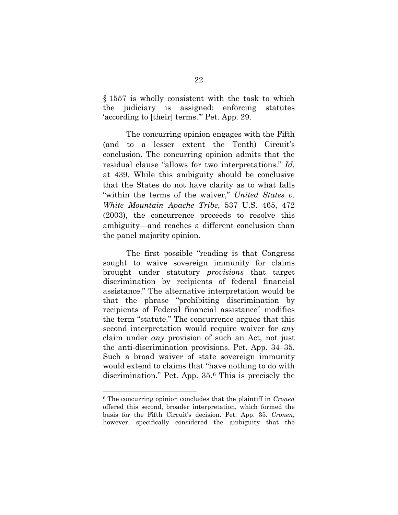§ 1557 is wholly consistent with the task to which the judiciary is assigned: enforcing statutes 'according to [their] terms.'" Pet. App. 29.

The concurring opinion engages with the Fifth (and to a lesser extent the Tenth) Circuit's conclusion. The concurring opinion admits that the residual clause "allows for two interpretations." *Id.*  at 439. While this ambiguity should be conclusive that the States do not have clarity as to what falls "within the terms of the waiver," *United States v. White Mountain Apache Tribe*, 537 U.S. 465, 472 (2003), the concurrence proceeds to resolve this ambiguity—and reaches a different conclusion than the panel majority opinion.

The first possible "reading is that Congress sought to waive sovereign immunity for claims brought under statutory *provisions* that target discrimination by recipients of federal financial assistance." The alternative interpretation would be that the phrase "prohibiting discrimination by recipients of Federal financial assistance" modifies the term "statute." The concurrence argues that this second interpretation would require waiver for *any* claim under *any* provision of such an Act, not just the anti-discrimination provisions. Pet. App. 34–35. Such a broad waiver of state sovereign immunity would extend to claims that "have nothing to do with discrimination." Pet. App. 35.[6](#page-33-0) This is precisely the

<span id="page-33-0"></span><sup>6</sup> The concurring opinion concludes that the plaintiff in *Cronen*  offered this second, broader interpretation, which formed the basis for the Fifth Circuit's decision. Pet. App. 35. *Cronen*, however, specifically considered the ambiguity that the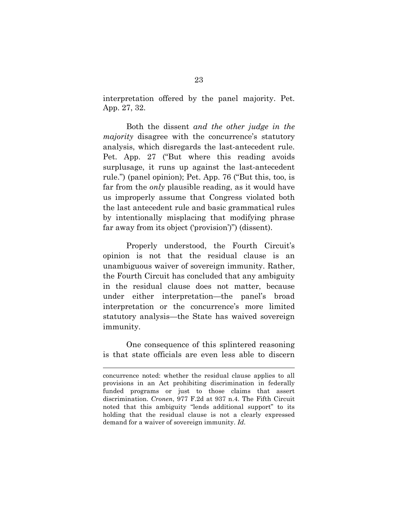interpretation offered by the panel majority. Pet. App. 27, 32.

Both the dissent *and the other judge in the majority* disagree with the concurrence's statutory analysis, which disregards the last-antecedent rule. Pet. App. 27 ("But where this reading avoids surplusage, it runs up against the last-antecedent rule.") (panel opinion); Pet. App. 76 ("But this, too, is far from the *only* plausible reading, as it would have us improperly assume that Congress violated both the last antecedent rule and basic grammatical rules by intentionally misplacing that modifying phrase far away from its object ('provision')") (dissent).

Properly understood, the Fourth Circuit's opinion is not that the residual clause is an unambiguous waiver of sovereign immunity. Rather, the Fourth Circuit has concluded that any ambiguity in the residual clause does not matter, because under either interpretation—the panel's broad interpretation or the concurrence's more limited statutory analysis—the State has waived sovereign immunity.

One consequence of this splintered reasoning is that state officials are even less able to discern

concurrence noted: whether the residual clause applies to all provisions in an Act prohibiting discrimination in federally funded programs or just to those claims that assert discrimination. *Cronen*, 977 F.2d at 937 n.4. The Fifth Circuit noted that this ambiguity "lends additional support" to its holding that the residual clause is not a clearly expressed demand for a waiver of sovereign immunity. *Id.*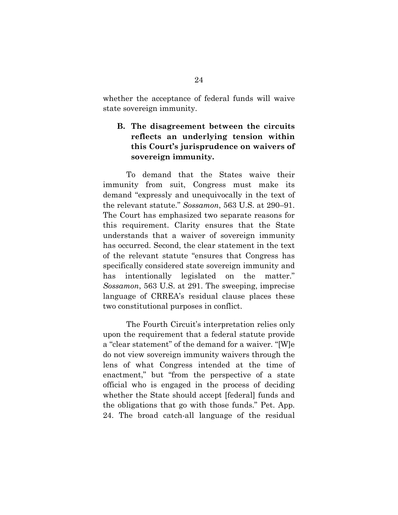whether the acceptance of federal funds will waive state sovereign immunity.

# **B. The disagreement between the circuits reflects an underlying tension within this Court's jurisprudence on waivers of sovereign immunity.**

To demand that the States waive their immunity from suit, Congress must make its demand "expressly and unequivocally in the text of the relevant statute." *Sossamon*, 563 U.S. at 290–91. The Court has emphasized two separate reasons for this requirement. Clarity ensures that the State understands that a waiver of sovereign immunity has occurred. Second, the clear statement in the text of the relevant statute "ensures that Congress has specifically considered state sovereign immunity and has intentionally legislated on the matter." *Sossamon*, 563 U.S. at 291. The sweeping, imprecise language of CRREA's residual clause places these two constitutional purposes in conflict.

The Fourth Circuit's interpretation relies only upon the requirement that a federal statute provide a "clear statement" of the demand for a waiver. "[W]e do not view sovereign immunity waivers through the lens of what Congress intended at the time of enactment," but "from the perspective of a state official who is engaged in the process of deciding whether the State should accept [federal] funds and the obligations that go with those funds." Pet. App. 24. The broad catch-all language of the residual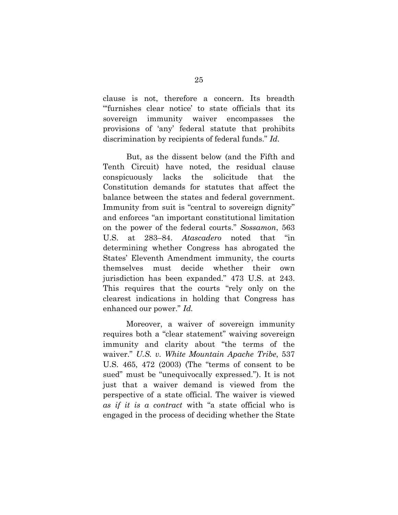clause is not, therefore a concern. Its breadth "'furnishes clear notice' to state officials that its sovereign immunity waiver encompasses the provisions of 'any' federal statute that prohibits discrimination by recipients of federal funds." *Id.*

But, as the dissent below (and the Fifth and Tenth Circuit) have noted, the residual clause conspicuously lacks the solicitude that the Constitution demands for statutes that affect the balance between the states and federal government. Immunity from suit is "central to sovereign dignity" and enforces "an important constitutional limitation on the power of the federal courts." *Sossamon*, 563 U.S. at 283–84. *Atascadero* noted that "in determining whether Congress has abrogated the States' Eleventh Amendment immunity, the courts themselves must decide whether their own jurisdiction has been expanded." 473 U.S. at 243. This requires that the courts "rely only on the clearest indications in holding that Congress has enhanced our power." *Id.*

Moreover, a waiver of sovereign immunity requires both a "clear statement" waiving sovereign immunity and clarity about "the terms of the waiver." *U.S. v. White Mountain Apache Tribe*, 537 U.S. 465, 472 (2003) (The "terms of consent to be sued" must be "unequivocally expressed."). It is not just that a waiver demand is viewed from the perspective of a state official. The waiver is viewed *as if it is a contract* with "a state official who is engaged in the process of deciding whether the State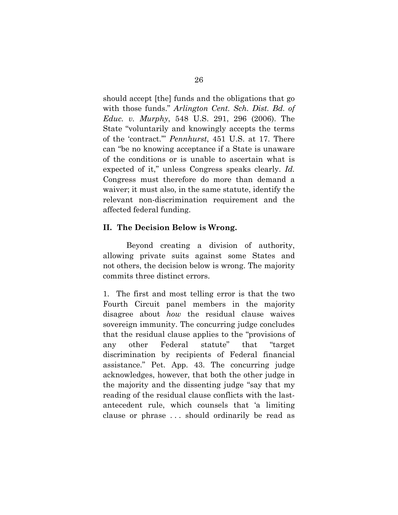should accept [the] funds and the obligations that go with those funds." *Arlington Cent. Sch. Dist. Bd. of Educ. v. Murphy*, 548 U.S. 291, 296 (2006). The State "voluntarily and knowingly accepts the terms of the 'contract.'" *Pennhurst*, 451 U.S. at 17. There can "be no knowing acceptance if a State is unaware of the conditions or is unable to ascertain what is expected of it," unless Congress speaks clearly. *Id.* Congress must therefore do more than demand a waiver; it must also, in the same statute, identify the relevant non-discrimination requirement and the affected federal funding.

#### **II. The Decision Below is Wrong.**

Beyond creating a division of authority, allowing private suits against some States and not others, the decision below is wrong. The majority commits three distinct errors.

1. The first and most telling error is that the two Fourth Circuit panel members in the majority disagree about *how* the residual clause waives sovereign immunity. The concurring judge concludes that the residual clause applies to the "provisions of any other Federal statute" that "target discrimination by recipients of Federal financial assistance." Pet. App. 43. The concurring judge acknowledges, however, that both the other judge in the majority and the dissenting judge "say that my reading of the residual clause conflicts with the lastantecedent rule, which counsels that 'a limiting clause or phrase . . . should ordinarily be read as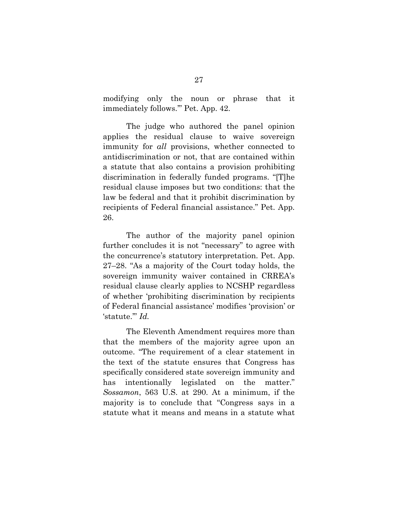modifying only the noun or phrase that it immediately follows.'" Pet. App. 42.

The judge who authored the panel opinion applies the residual clause to waive sovereign immunity for *all* provisions, whether connected to antidiscrimination or not, that are contained within a statute that also contains a provision prohibiting discrimination in federally funded programs. "[T]he residual clause imposes but two conditions: that the law be federal and that it prohibit discrimination by recipients of Federal financial assistance." Pet. App. 26.

The author of the majority panel opinion further concludes it is not "necessary" to agree with the concurrence's statutory interpretation. Pet. App. 27–28. "As a majority of the Court today holds, the sovereign immunity waiver contained in CRREA's residual clause clearly applies to NCSHP regardless of whether 'prohibiting discrimination by recipients of Federal financial assistance' modifies 'provision' or 'statute.'" *Id.*

The Eleventh Amendment requires more than that the members of the majority agree upon an outcome. "The requirement of a clear statement in the text of the statute ensures that Congress has specifically considered state sovereign immunity and has intentionally legislated on the matter." *Sossamon*, 563 U.S. at 290. At a minimum, if the majority is to conclude that "Congress says in a statute what it means and means in a statute what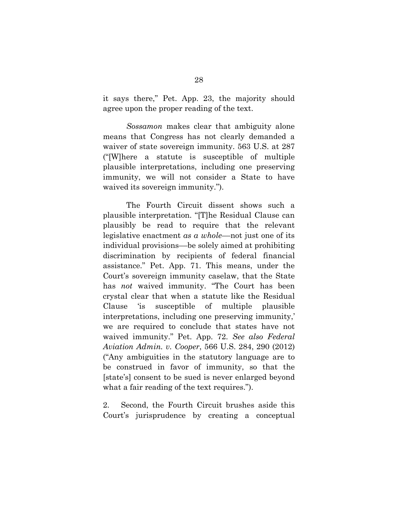it says there," Pet. App. 23, the majority should agree upon the proper reading of the text.

*Sossamon* makes clear that ambiguity alone means that Congress has not clearly demanded a waiver of state sovereign immunity. 563 U.S. at 287 ("[W]here a statute is susceptible of multiple plausible interpretations, including one preserving immunity, we will not consider a State to have waived its sovereign immunity.").

The Fourth Circuit dissent shows such a plausible interpretation. "[T]he Residual Clause can plausibly be read to require that the relevant legislative enactment *as a whole*––not just one of its individual provisions––be solely aimed at prohibiting discrimination by recipients of federal financial assistance." Pet. App. 71. This means, under the Court's sovereign immunity caselaw, that the State has *not* waived immunity. "The Court has been crystal clear that when a statute like the Residual Clause 'is susceptible of multiple plausible interpretations, including one preserving immunity,' we are required to conclude that states have not waived immunity." Pet. App. 72. *See also Federal Aviation Admin. v. Cooper*, 566 U.S. 284, 290 (2012) ("Any ambiguities in the statutory language are to be construed in favor of immunity, so that the [state's] consent to be sued is never enlarged beyond what a fair reading of the text requires.").

2. Second, the Fourth Circuit brushes aside this Court's jurisprudence by creating a conceptual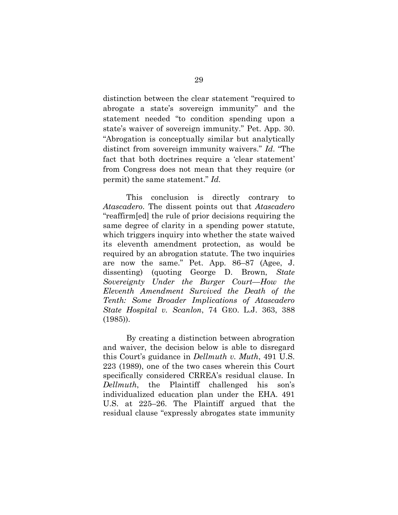distinction between the clear statement "required to abrogate a state's sovereign immunity" and the statement needed "to condition spending upon a state's waiver of sovereign immunity." Pet. App. 30. "Abrogation is conceptually similar but analytically distinct from sovereign immunity waivers." *Id*. "The fact that both doctrines require a 'clear statement' from Congress does not mean that they require (or permit) the same statement." *Id.*

This conclusion is directly contrary to *Atascadero*. The dissent points out that *Atascadero* "reaffirm[ed] the rule of prior decisions requiring the same degree of clarity in a spending power statute, which triggers inquiry into whether the state waived its eleventh amendment protection, as would be required by an abrogation statute. The two inquiries are now the same." Pet. App. 86–87 (Agee, J. dissenting) (quoting George D. Brown, *State Sovereignty Under the Burger Court––How the Eleventh Amendment Survived the Death of the Tenth: Some Broader Implications of Atascadero State Hospital v. Scanlon*, 74 GEO. L.J. 363, 388 (1985)).

By creating a distinction between abrogration and waiver, the decision below is able to disregard this Court's guidance in *Dellmuth v. Muth*, 491 U.S. 223 (1989), one of the two cases wherein this Court specifically considered CRREA's residual clause. In *Dellmuth*, the Plaintiff challenged his son's individualized education plan under the EHA. 491 U.S. at 225–26. The Plaintiff argued that the residual clause "expressly abrogates state immunity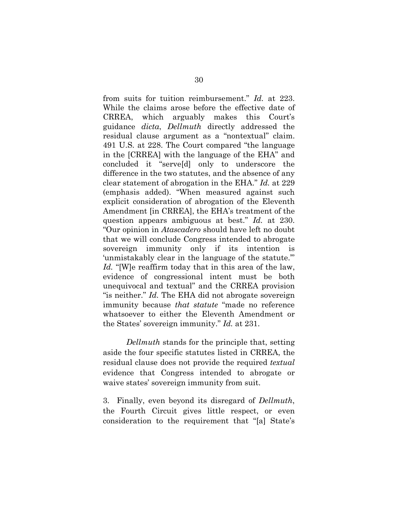from suits for tuition reimbursement." *Id.* at 223. While the claims arose before the effective date of CRREA, which arguably makes this Court's guidance *dicta*, *Dellmuth* directly addressed the residual clause argument as a "nontextual" claim. 491 U.S. at 228. The Court compared "the language in the [CRREA] with the language of the EHA" and concluded it "serve[d] only to underscore the difference in the two statutes, and the absence of any clear statement of abrogation in the EHA." *Id.* at 229 (emphasis added). "When measured against such explicit consideration of abrogation of the Eleventh Amendment [in CRREA], the EHA's treatment of the question appears ambiguous at best." *Id.* at 230. "Our opinion in *Atascadero* should have left no doubt that we will conclude Congress intended to abrogate sovereign immunity only if its intention is 'unmistakably clear in the language of the statute.'" *Id.* "[W]e reaffirm today that in this area of the law, evidence of congressional intent must be both unequivocal and textual" and the CRREA provision "is neither." *Id.* The EHA did not abrogate sovereign immunity because *that statute* "made no reference whatsoever to either the Eleventh Amendment or the States' sovereign immunity." *Id.* at 231.

*Dellmuth* stands for the principle that, setting aside the four specific statutes listed in CRREA, the residual clause does not provide the required *textual* evidence that Congress intended to abrogate or waive states' sovereign immunity from suit.

3. Finally, even beyond its disregard of *Dellmuth*, the Fourth Circuit gives little respect, or even consideration to the requirement that "[a] State's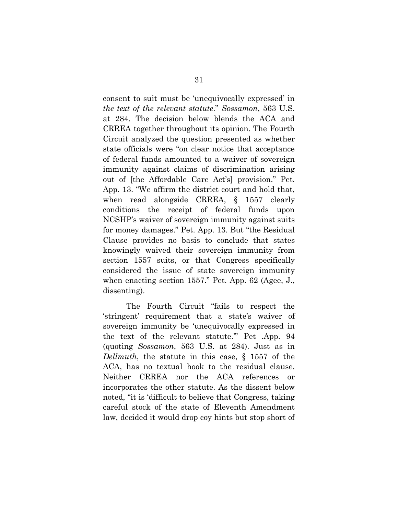consent to suit must be 'unequivocally expressed' in *the text of the relevant statute*." *Sossamon*, 563 U.S. at 284. The decision below blends the ACA and CRREA together throughout its opinion. The Fourth Circuit analyzed the question presented as whether state officials were "on clear notice that acceptance of federal funds amounted to a waiver of sovereign immunity against claims of discrimination arising out of [the Affordable Care Act's] provision." Pet. App. 13. "We affirm the district court and hold that, when read alongside CRREA, § 1557 clearly conditions the receipt of federal funds upon NCSHP's waiver of sovereign immunity against suits for money damages." Pet. App. 13. But "the Residual Clause provides no basis to conclude that states knowingly waived their sovereign immunity from section 1557 suits, or that Congress specifically considered the issue of state sovereign immunity when enacting section 1557." Pet. App. 62 (Agee, J., dissenting).

The Fourth Circuit "fails to respect the 'stringent' requirement that a state's waiver of sovereign immunity be 'unequivocally expressed in the text of the relevant statute.'" Pet .App. 94 (quoting *Sossamon*, 563 U.S. at 284). Just as in *Dellmuth*, the statute in this case, § 1557 of the ACA, has no textual hook to the residual clause. Neither CRREA nor the ACA references or incorporates the other statute. As the dissent below noted, "it is 'difficult to believe that Congress, taking careful stock of the state of Eleventh Amendment law, decided it would drop coy hints but stop short of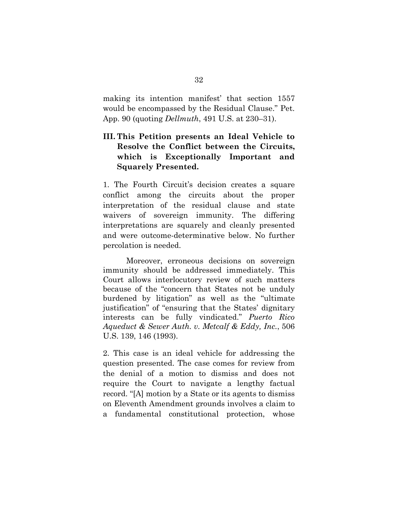making its intention manifest' that section 1557 would be encompassed by the Residual Clause." Pet. App. 90 (quoting *Dellmuth*, 491 U.S. at 230–31).

# **III. This Petition presents an Ideal Vehicle to Resolve the Conflict between the Circuits, which is Exceptionally Important and Squarely Presented.**

1. The Fourth Circuit's decision creates a square conflict among the circuits about the proper interpretation of the residual clause and state waivers of sovereign immunity. The differing interpretations are squarely and cleanly presented and were outcome-determinative below. No further percolation is needed.

Moreover, erroneous decisions on sovereign immunity should be addressed immediately. This Court allows interlocutory review of such matters because of the "concern that States not be unduly burdened by litigation" as well as the "ultimate justification" of "ensuring that the States' dignitary interests can be fully vindicated." *Puerto Rico Aqueduct & Sewer Auth. v. Metcalf & Eddy, Inc.*, 506 U.S. 139, 146 (1993).

2. This case is an ideal vehicle for addressing the question presented. The case comes for review from the denial of a motion to dismiss and does not require the Court to navigate a lengthy factual record. "[A] motion by a State or its agents to dismiss on Eleventh Amendment grounds involves a claim to a fundamental constitutional protection, whose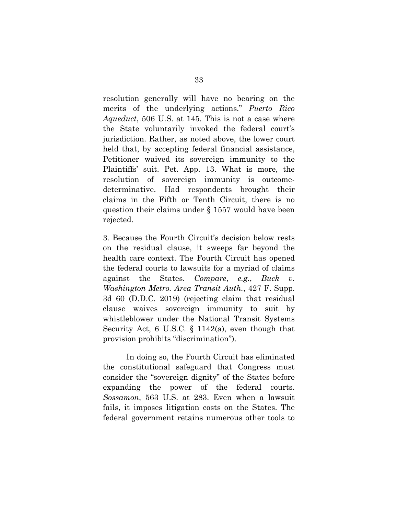resolution generally will have no bearing on the merits of the underlying actions." *Puerto Rico Aqueduct*, 506 U.S. at 145. This is not a case where the State voluntarily invoked the federal court's jurisdiction. Rather, as noted above, the lower court held that, by accepting federal financial assistance, Petitioner waived its sovereign immunity to the Plaintiffs' suit. Pet. App. 13. What is more, the resolution of sovereign immunity is outcomedeterminative. Had respondents brought their claims in the Fifth or Tenth Circuit, there is no question their claims under § 1557 would have been rejected.

3. Because the Fourth Circuit's decision below rests on the residual clause, it sweeps far beyond the health care context. The Fourth Circuit has opened the federal courts to lawsuits for a myriad of claims against the States. *Compare*, *e.g.*, *Buck v. Washington Metro. Area Transit Auth.*, 427 F. Supp. 3d 60 (D.D.C. 2019) (rejecting claim that residual clause waives sovereign immunity to suit by whistleblower under the National Transit Systems Security Act, 6 U.S.C. § 1142(a), even though that provision prohibits "discrimination").

In doing so, the Fourth Circuit has eliminated the constitutional safeguard that Congress must consider the "sovereign dignity" of the States before expanding the power of the federal courts. *Sossamon*, 563 U.S. at 283. Even when a lawsuit fails, it imposes litigation costs on the States. The federal government retains numerous other tools to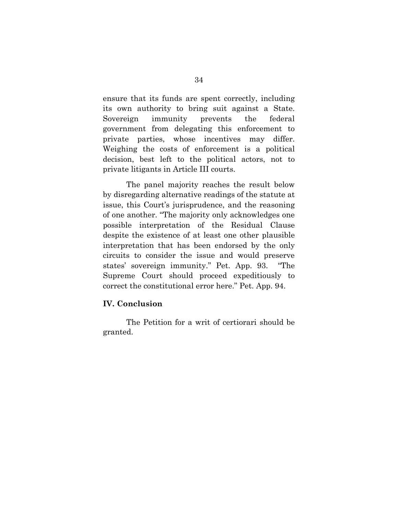ensure that its funds are spent correctly, including its own authority to bring suit against a State. Sovereign immunity prevents the federal government from delegating this enforcement to private parties, whose incentives may differ. Weighing the costs of enforcement is a political decision, best left to the political actors, not to private litigants in Article III courts.

The panel majority reaches the result below by disregarding alternative readings of the statute at issue, this Court's jurisprudence, and the reasoning of one another. "The majority only acknowledges one possible interpretation of the Residual Clause despite the existence of at least one other plausible interpretation that has been endorsed by the only circuits to consider the issue and would preserve states' sovereign immunity." Pet. App. 93. "The Supreme Court should proceed expeditiously to correct the constitutional error here." Pet. App. 94.

## **IV. Conclusion**

The Petition for a writ of certiorari should be granted.